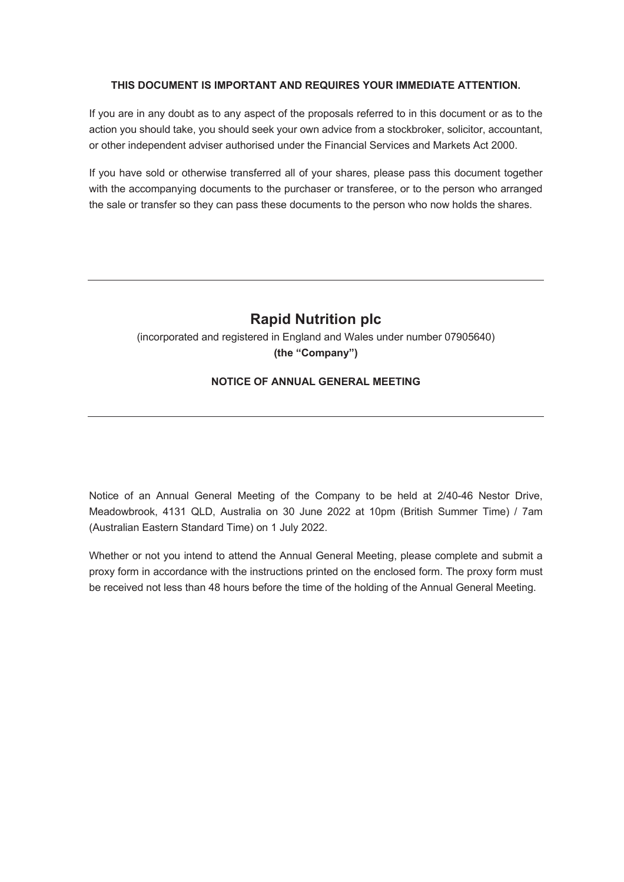### **THIS DOCUMENT IS IMPORTANT AND REQUIRES YOUR IMMEDIATE ATTENTION.**

If you are in any doubt as to any aspect of the proposals referred to in this document or as to the action you should take, you should seek your own advice from a stockbroker, solicitor, accountant, or other independent adviser authorised under the Financial Services and Markets Act 2000.

If you have sold or otherwise transferred all of your shares, please pass this document together with the accompanying documents to the purchaser or transferee, or to the person who arranged the sale or transfer so they can pass these documents to the person who now holds the shares.

# **Rapid Nutrition plc**

(incorporated and registered in England and Wales under number 07905640) **(the "Company")**

## **NOTICE OF ANNUAL GENERAL MEETING**

Notice of an Annual General Meeting of the Company to be held at 2/40-46 Nestor Drive, Meadowbrook, 4131 QLD, Australia on 30 June 2022 at 10pm (British Summer Time) / 7am (Australian Eastern Standard Time) on 1 July 2022.

Whether or not you intend to attend the Annual General Meeting, please complete and submit a proxy form in accordance with the instructions printed on the enclosed form. The proxy form must be received not less than 48 hours before the time of the holding of the Annual General Meeting.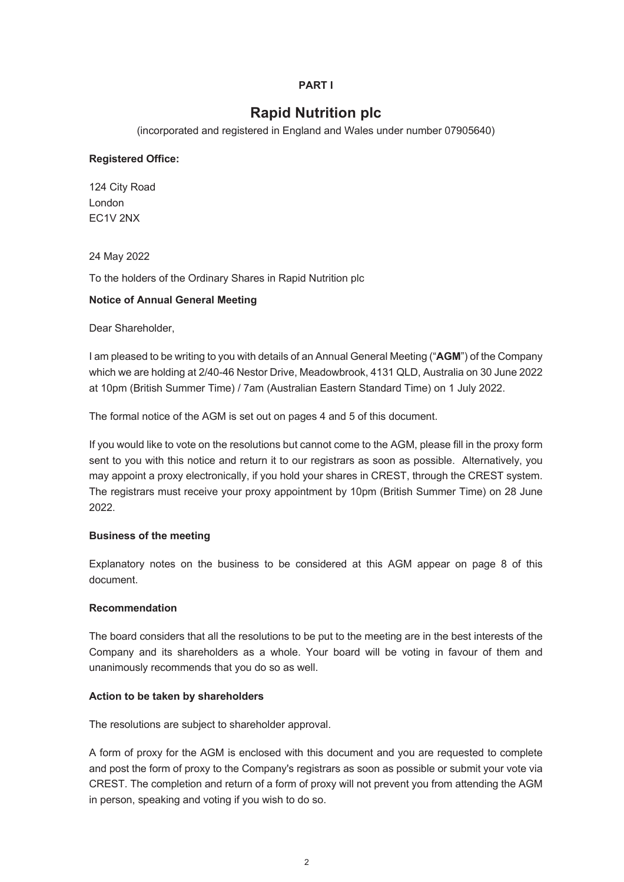### **PART I**

# **Rapid Nutrition plc**

(incorporated and registered in England and Wales under number 07905640)

### **Registered Office:**

124 City Road London EC1V 2NX

### 24 May 2022

To the holders of the Ordinary Shares in Rapid Nutrition plc

### **Notice of Annual General Meeting**

Dear Shareholder,

I am pleased to be writing to you with details of an Annual General Meeting ("**AGM**") of the Company which we are holding at 2/40-46 Nestor Drive, Meadowbrook, 4131 QLD, Australia on 30 June 2022 at 10pm (British Summer Time) / 7am (Australian Eastern Standard Time) on 1 July 2022.

The formal notice of the AGM is set out on pages 4 and 5 of this document.

If you would like to vote on the resolutions but cannot come to the AGM, please fill in the proxy form sent to you with this notice and return it to our registrars as soon as possible. Alternatively, you may appoint a proxy electronically, if you hold your shares in CREST, through the CREST system. The registrars must receive your proxy appointment by 10pm (British Summer Time) on 28 June 2022.

### **Business of the meeting**

Explanatory notes on the business to be considered at this AGM appear on page 8 of this document.

### **Recommendation**

The board considers that all the resolutions to be put to the meeting are in the best interests of the Company and its shareholders as a whole. Your board will be voting in favour of them and unanimously recommends that you do so as well.

### **Action to be taken by shareholders**

The resolutions are subject to shareholder approval.

A form of proxy for the AGM is enclosed with this document and you are requested to complete and post the form of proxy to the Company's registrars as soon as possible or submit your vote via CREST. The completion and return of a form of proxy will not prevent you from attending the AGM in person, speaking and voting if you wish to do so.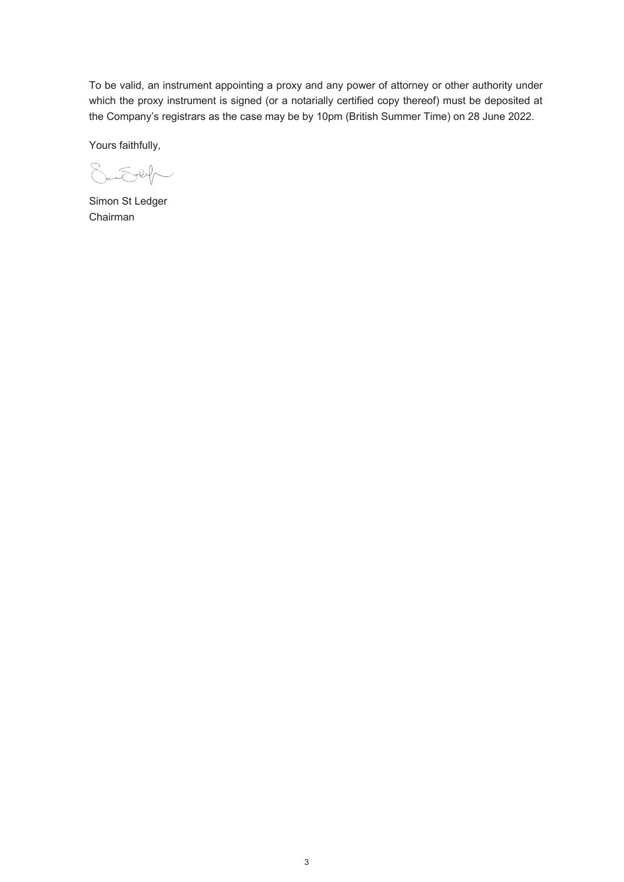To be valid, an instrument appointing a proxy and any power of attorney or other authority under which the proxy instrument is signed (or a notarially certified copy thereof) must be deposited at the Company's registrars as the case may be by 10pm (British Summer Time) on 28 June 2022.

Yours faithfully,

wood  $\left\{ \right.$ 

Simon St Ledger Chairman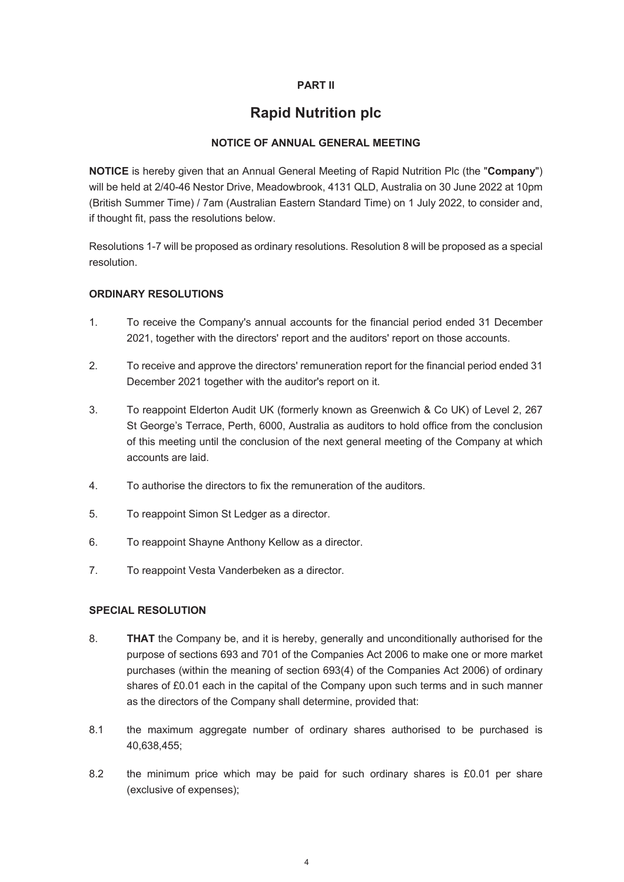## **PART II**

# **Rapid Nutrition plc**

## **NOTICE OF ANNUAL GENERAL MEETING**

**NOTICE** is hereby given that an Annual General Meeting of Rapid Nutrition Plc (the "**Company**") will be held at 2/40-46 Nestor Drive, Meadowbrook, 4131 QLD, Australia on 30 June 2022 at 10pm (British Summer Time) / 7am (Australian Eastern Standard Time) on 1 July 2022, to consider and, if thought fit, pass the resolutions below.

Resolutions 1-7 will be proposed as ordinary resolutions. Resolution 8 will be proposed as a special resolution.

### **ORDINARY RESOLUTIONS**

- 1. To receive the Company's annual accounts for the financial period ended 31 December 2021, together with the directors' report and the auditors' report on those accounts.
- 2. To receive and approve the directors' remuneration report for the financial period ended 31 December 2021 together with the auditor's report on it.
- 3. To reappoint Elderton Audit UK (formerly known as Greenwich & Co UK) of Level 2, 267 St George's Terrace, Perth, 6000, Australia as auditors to hold office from the conclusion of this meeting until the conclusion of the next general meeting of the Company at which accounts are laid.
- 4. To authorise the directors to fix the remuneration of the auditors.
- 5. To reappoint Simon St Ledger as a director.
- 6. To reappoint Shayne Anthony Kellow as a director.
- 7. To reappoint Vesta Vanderbeken as a director.

#### **SPECIAL RESOLUTION**

- 8. **THAT** the Company be, and it is hereby, generally and unconditionally authorised for the purpose of sections 693 and 701 of the Companies Act 2006 to make one or more market purchases (within the meaning of section 693(4) of the Companies Act 2006) of ordinary shares of £0.01 each in the capital of the Company upon such terms and in such manner as the directors of the Company shall determine, provided that:
- 8.1 the maximum aggregate number of ordinary shares authorised to be purchased is 40,638,455;
- 8.2 the minimum price which may be paid for such ordinary shares is £0.01 per share (exclusive of expenses);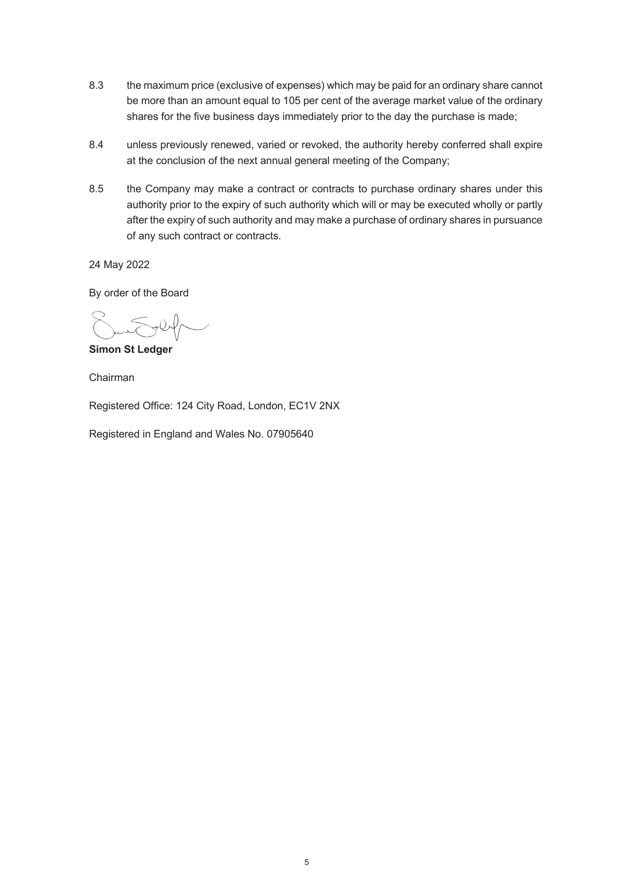- 8.3 the maximum price (exclusive of expenses) which may be paid for an ordinary share cannot be more than an amount equal to 105 per cent of the average market value of the ordinary shares for the five business days immediately prior to the day the purchase is made;
- 8.4 unless previously renewed, varied or revoked, the authority hereby conferred shall expire at the conclusion of the next annual general meeting of the Company;
- 8.5 the Company may make a contract or contracts to purchase ordinary shares under this authority prior to the expiry of such authority which will or may be executed wholly or partly after the expiry of such authority and may make a purchase of ordinary shares in pursuance of any such contract or contracts.

24 May 2022

By order of the Board

 $404$ 

**Simon St Ledger**

Chairman

Registered Office: 124 City Road, London, EC1V 2NX

Registered in England and Wales No. 07905640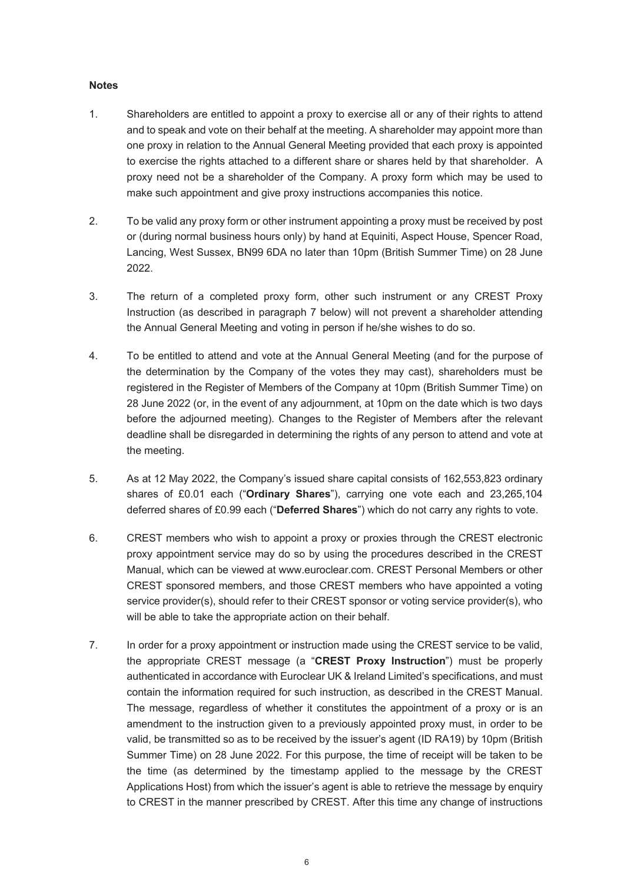### **Notes**

- 1. Shareholders are entitled to appoint a proxy to exercise all or any of their rights to attend and to speak and vote on their behalf at the meeting. A shareholder may appoint more than one proxy in relation to the Annual General Meeting provided that each proxy is appointed to exercise the rights attached to a different share or shares held by that shareholder. A proxy need not be a shareholder of the Company. A proxy form which may be used to make such appointment and give proxy instructions accompanies this notice.
- 2. To be valid any proxy form or other instrument appointing a proxy must be received by post or (during normal business hours only) by hand at Equiniti, Aspect House, Spencer Road, Lancing, West Sussex, BN99 6DA no later than 10pm (British Summer Time) on 28 June 2022.
- 3. The return of a completed proxy form, other such instrument or any CREST Proxy Instruction (as described in paragraph 7 below) will not prevent a shareholder attending the Annual General Meeting and voting in person if he/she wishes to do so.
- 4. To be entitled to attend and vote at the Annual General Meeting (and for the purpose of the determination by the Company of the votes they may cast), shareholders must be registered in the Register of Members of the Company at 10pm (British Summer Time) on 28 June 2022 (or, in the event of any adjournment, at 10pm on the date which is two days before the adjourned meeting). Changes to the Register of Members after the relevant deadline shall be disregarded in determining the rights of any person to attend and vote at the meeting.
- 5. As at 12 May 2022, the Company's issued share capital consists of 162,553,823 ordinary shares of £0.01 each ("**Ordinary Shares**"), carrying one vote each and 23,265,104 deferred shares of £0.99 each ("**Deferred Shares**") which do not carry any rights to vote.
- 6. CREST members who wish to appoint a proxy or proxies through the CREST electronic proxy appointment service may do so by using the procedures described in the CREST Manual, which can be viewed at www.euroclear.com. CREST Personal Members or other CREST sponsored members, and those CREST members who have appointed a voting service provider(s), should refer to their CREST sponsor or voting service provider(s), who will be able to take the appropriate action on their behalf.
- 7. In order for a proxy appointment or instruction made using the CREST service to be valid, the appropriate CREST message (a "**CREST Proxy Instruction**") must be properly authenticated in accordance with Euroclear UK & Ireland Limited's specifications, and must contain the information required for such instruction, as described in the CREST Manual. The message, regardless of whether it constitutes the appointment of a proxy or is an amendment to the instruction given to a previously appointed proxy must, in order to be valid, be transmitted so as to be received by the issuer's agent (ID RA19) by 10pm (British Summer Time) on 28 June 2022. For this purpose, the time of receipt will be taken to be the time (as determined by the timestamp applied to the message by the CREST Applications Host) from which the issuer's agent is able to retrieve the message by enquiry to CREST in the manner prescribed by CREST. After this time any change of instructions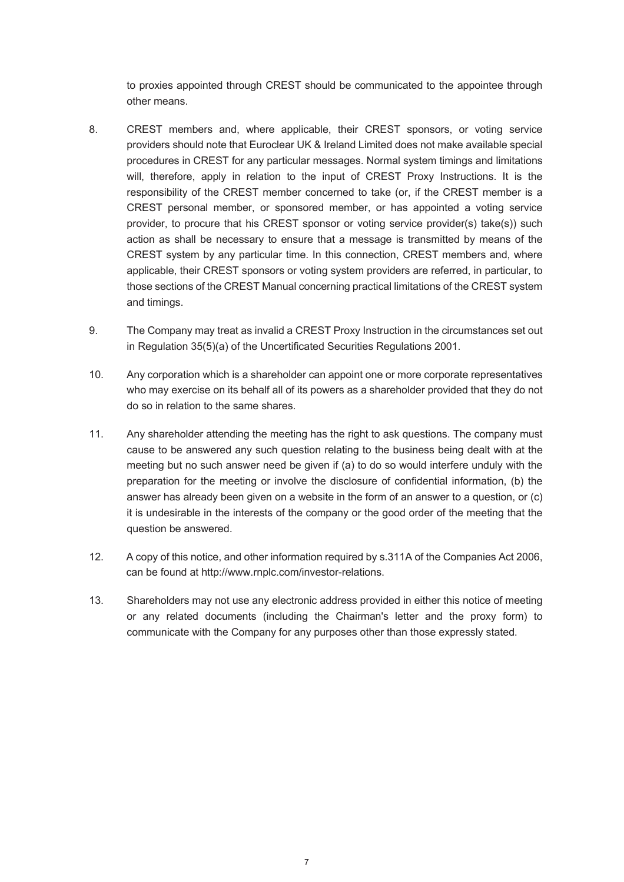to proxies appointed through CREST should be communicated to the appointee through other means.

- 8. CREST members and, where applicable, their CREST sponsors, or voting service providers should note that Euroclear UK & Ireland Limited does not make available special procedures in CREST for any particular messages. Normal system timings and limitations will, therefore, apply in relation to the input of CREST Proxy Instructions. It is the responsibility of the CREST member concerned to take (or, if the CREST member is a CREST personal member, or sponsored member, or has appointed a voting service provider, to procure that his CREST sponsor or voting service provider(s) take(s)) such action as shall be necessary to ensure that a message is transmitted by means of the CREST system by any particular time. In this connection, CREST members and, where applicable, their CREST sponsors or voting system providers are referred, in particular, to those sections of the CREST Manual concerning practical limitations of the CREST system and timings.
- 9. The Company may treat as invalid a CREST Proxy Instruction in the circumstances set out in Regulation 35(5)(a) of the Uncertificated Securities Regulations 2001.
- 10. Any corporation which is a shareholder can appoint one or more corporate representatives who may exercise on its behalf all of its powers as a shareholder provided that they do not do so in relation to the same shares.
- 11. Any shareholder attending the meeting has the right to ask questions. The company must cause to be answered any such question relating to the business being dealt with at the meeting but no such answer need be given if (a) to do so would interfere unduly with the preparation for the meeting or involve the disclosure of confidential information, (b) the answer has already been given on a website in the form of an answer to a question, or (c) it is undesirable in the interests of the company or the good order of the meeting that the question be answered.
- 12. A copy of this notice, and other information required by s.311A of the Companies Act 2006, can be found at http://www.rnplc.com/investor-relations.
- 13. Shareholders may not use any electronic address provided in either this notice of meeting or any related documents (including the Chairman's letter and the proxy form) to communicate with the Company for any purposes other than those expressly stated.